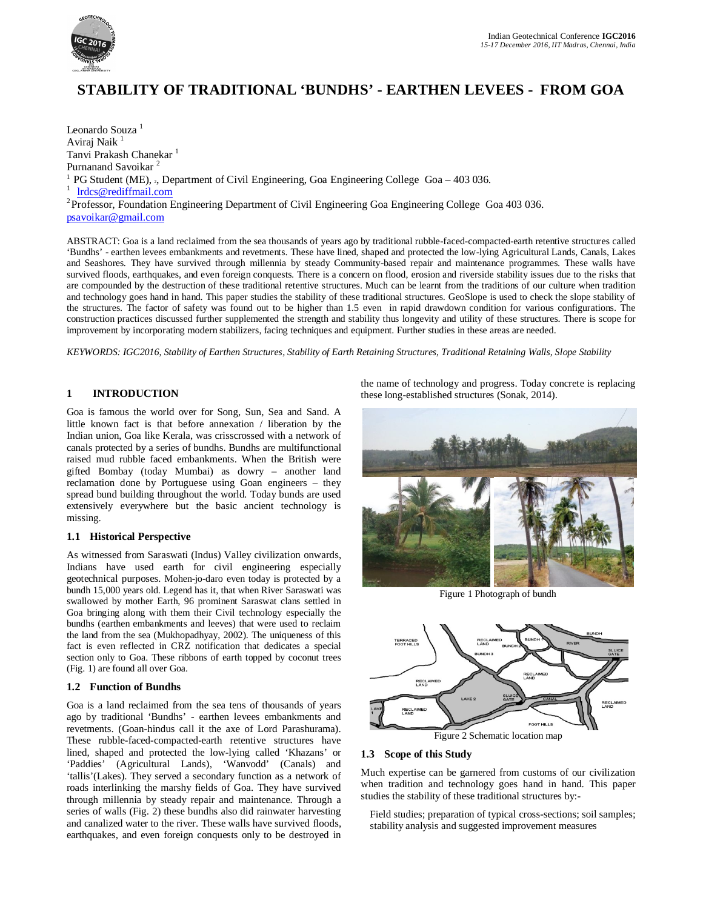

# **STABILITY OF TRADITIONAL 'BUNDHS' - EARTHEN LEVEES - FROM GOA**

Leonardo Souza<sup>1</sup> Aviraj Naik<sup>1</sup> Tanvi Prakash Chanekar<sup>1</sup> Purnanand Savoikar <sup>2</sup> <sup>1</sup> PG Student (ME),  $\alpha$ , Department of Civil Engineering, Goa Engineering College Goa – 403 036. 1 lrdcs@rediffmail.com <sup>2</sup> Professor, Foundation Engineering Department of Civil Engineering Goa Engineering College Goa 403 036. psavoikar@gmail.com

ABSTRACT: Goa is a land reclaimed from the sea thousands of years ago by traditional rubble-faced-compacted-earth retentive structures called 'Bundhs' - earthen levees embankments and revetments. These have lined, shaped and protected the low-lying Agricultural Lands, Canals, Lakes and Seashores. They have survived through millennia by steady Community-based repair and maintenance programmes. These walls have survived floods, earthquakes, and even foreign conquests. There is a concern on flood, erosion and riverside stability issues due to the risks that are compounded by the destruction of these traditional retentive structures. Much can be learnt from the traditions of our culture when tradition and technology goes hand in hand. This paper studies the stability of these traditional structures. GeoSlope is used to check the slope stability of the structures. The factor of safety was found out to be higher than 1.5 even in rapid drawdown condition for various configurations. The construction practices discussed further supplemented the strength and stability thus longevity and utility of these structures. There is scope for improvement by incorporating modern stabilizers, facing techniques and equipment. Further studies in these areas are needed.

*KEYWORDS: IGC2016, Stability of Earthen Structures, Stability of Earth Retaining Structures, Traditional Retaining Walls, Slope Stability*

# **1 INTRODUCTION**

Goa is famous the world over for Song, Sun, Sea and Sand. A little known fact is that before annexation / liberation by the Indian union, Goa like Kerala, was crisscrossed with a network of canals protected by a series of bundhs. Bundhs are multifunctional raised mud rubble faced embankments. When the British were gifted Bombay (today Mumbai) as dowry – another land reclamation done by Portuguese using Goan engineers – they spread bund building throughout the world. Today bunds are used extensively everywhere but the basic ancient technology is missing.

# **1.1 Historical Perspective**

As witnessed from Saraswati (Indus) Valley civilization onwards, Indians have used earth for civil engineering especially geotechnical purposes. Mohen-jo-daro even today is protected by a bundh 15,000 years old. Legend has it, that when River Saraswati was swallowed by mother Earth, 96 prominent Saraswat clans settled in Goa bringing along with them their Civil technology especially the bundhs (earthen embankments and leeves) that were used to reclaim the land from the sea (Mukhopadhyay, 2002). The uniqueness of this fact is even reflected in CRZ notification that dedicates a special section only to Goa. These ribbons of earth topped by coconut trees (Fig. 1) are found all over Goa.

## **1.2 Function of Bundhs**

Goa is a land reclaimed from the sea tens of thousands of years ago by traditional 'Bundhs' - earthen levees embankments and revetments. (Goan-hindus call it the axe of Lord Parashurama). These rubble-faced-compacted-earth retentive structures have lined, shaped and protected the low-lying called 'Khazans' or 'Paddies' (Agricultural Lands), 'Wanvodd' (Canals) and 'tallis'(Lakes). They served a secondary function as a network of roads interlinking the marshy fields of Goa. They have survived through millennia by steady repair and maintenance. Through a series of walls (Fig. 2) these bundhs also did rainwater harvesting and canalized water to the river. These walls have survived floods, earthquakes, and even foreign conquests only to be destroyed in the name of technology and progress. Today concrete is replacing these long-established structures (Sonak, 2014).



Figure 1 Photograph of bundh



# **1.3 Scope of this Study**

Much expertise can be garnered from customs of our civilization when tradition and technology goes hand in hand. This paper studies the stability of these traditional structures by:-

Field studies; preparation of typical cross-sections; soil samples; stability analysis and suggested improvement measures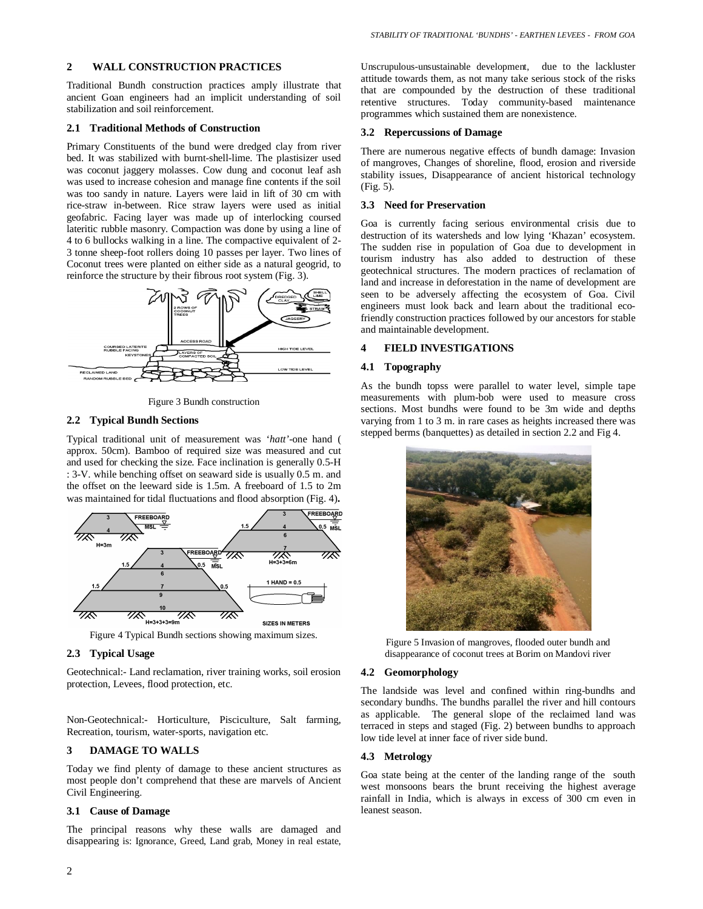## **2 WALL CONSTRUCTION PRACTICES**

Traditional Bundh construction practices amply illustrate that ancient Goan engineers had an implicit understanding of soil stabilization and soil reinforcement.

## **2.1 Traditional Methods of Construction**

Primary Constituents of the bund were dredged clay from river bed. It was stabilized with burnt-shell-lime. The plastisizer used was coconut jaggery molasses. Cow dung and coconut leaf ash was used to increase cohesion and manage fine contents if the soil was too sandy in nature. Layers were laid in lift of 30 cm with rice-straw in-between. Rice straw layers were used as initial geofabric. Facing layer was made up of interlocking coursed lateritic rubble masonry. Compaction was done by using a line of 4 to 6 bullocks walking in a line. The compactive equivalent of 2- 3 tonne sheep-foot rollers doing 10 passes per layer. Two lines of Coconut trees were planted on either side as a natural geogrid, to reinforce the structure by their fibrous root system (Fig. 3).



Figure 3 Bundh construction

## **2.2 Typical Bundh Sections**

Typical traditional unit of measurement was '*hatt'*-one hand ( approx. 50cm). Bamboo of required size was measured and cut and used for checking the size. Face inclination is generally 0.5-H : 3-V. while benching offset on seaward side is usually 0.5 m. and the offset on the leeward side is 1.5m. A freeboard of 1.5 to 2m was maintained for tidal fluctuations and flood absorption (Fig. 4)**.**



Figure 4 Typical Bundh sections showing maximum sizes.

## **2.3 Typical Usage**

Geotechnical:- Land reclamation, river training works, soil erosion protection, Levees, flood protection, etc.

Non-Geotechnical:- Horticulture, Pisciculture, Salt farming, Recreation, tourism, water-sports, navigation etc.

# **3 DAMAGE TO WALLS**

Today we find plenty of damage to these ancient structures as most people don't comprehend that these are marvels of Ancient Civil Engineering.

#### **3.1 Cause of Damage**

The principal reasons why these walls are damaged and disappearing is: Ignorance, Greed, Land grab, Money in real estate, Unscrupulous-unsustainable development, due to the lackluster attitude towards them, as not many take serious stock of the risks that are compounded by the destruction of these traditional retentive structures. Today community-based maintenance programmes which sustained them are nonexistence.

#### **3.2 Repercussions of Damage**

There are numerous negative effects of bundh damage: Invasion of mangroves, Changes of shoreline, flood, erosion and riverside stability issues, Disappearance of ancient historical technology (Fig. 5).

#### **3.3 Need for Preservation**

Goa is currently facing serious environmental crisis due to destruction of its watersheds and low lying 'Khazan' ecosystem. The sudden rise in population of Goa due to development in tourism industry has also added to destruction of these geotechnical structures. The modern practices of reclamation of land and increase in deforestation in the name of development are seen to be adversely affecting the ecosystem of Goa. Civil engineers must look back and learn about the traditional ecofriendly construction practices followed by our ancestors for stable and maintainable development.

## **4 FIELD INVESTIGATIONS**

### **4.1 Topography**

As the bundh topss were parallel to water level, simple tape measurements with plum-bob were used to measure cross sections. Most bundhs were found to be 3m wide and depths varying from 1 to 3 m. in rare cases as heights increased there was stepped berms (banquettes) as detailed in section 2.2 and Fig 4.



Figure 5 Invasion of mangroves, flooded outer bundh and disappearance of coconut trees at Borim on Mandovi river

#### **4.2 Geomorphology**

The landside was level and confined within ring-bundhs and secondary bundhs. The bundhs parallel the river and hill contours as applicable. The general slope of the reclaimed land was terraced in steps and staged (Fig. 2) between bundhs to approach low tide level at inner face of river side bund.

#### **4.3 Metrology**

Goa state being at the center of the landing range of the south west monsoons bears the brunt receiving the highest average rainfall in India, which is always in excess of 300 cm even in leanest season.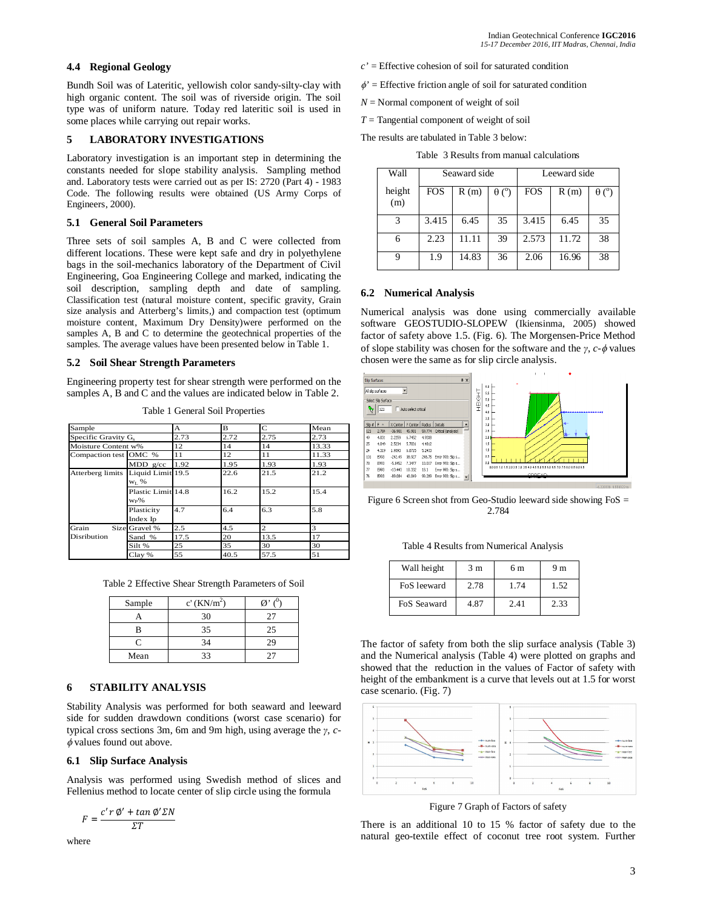## **4.4 Regional Geology**

Bundh Soil was of Lateritic, yellowish color sandy-silty-clay with high organic content. The soil was of riverside origin. The soil type was of uniform nature. Today red lateritic soil is used in some places while carrying out repair works.

## **5 LABORATORY INVESTIGATIONS**

Laboratory investigation is an important step in determining the constants needed for slope stability analysis. Sampling method and. Laboratory tests were carried out as per IS: 2720 (Part 4) - 1983 Code. The following results were obtained (US Army Corps of Engineers, 2000).

#### **5.1 General Soil Parameters**

Three sets of soil samples A, B and C were collected from different locations. These were kept safe and dry in polyethylene bags in the soil-mechanics laboratory of the Department of Civil Engineering, Goa Engineering College and marked, indicating the soil description, sampling depth and date of sampling. Classification test (natural moisture content, specific gravity, Grain size analysis and Atterberg's limits,) and compaction test (optimum moisture content, Maximum Dry Density)were performed on the samples A, B and C to determine the geotechnical properties of the samples. The average values have been presented below in Table 1.

### **5.2 Soil Shear Strength Parameters**

Engineering property test for shear strength were performed on the samples A, B and C and the values are indicated below in Table 2.

Table 1 General Soil Properties

| Sample                |                                 | А    | B    | $\mathbf C$    | Mean  |
|-----------------------|---------------------------------|------|------|----------------|-------|
| Specific Gravity G.   |                                 | 2.73 | 2.72 | 2.75           | 2.73  |
| Moisture Content w%   |                                 | 12   | 14   | 14             | 13.33 |
| Compaction test OMC % |                                 | 11   | 12   | 11             | 11.33 |
|                       | MDD g/cc                        | 1.92 | 1.95 | 1.93           | 1.93  |
| Atterberg limits      | Liquid Limit 19.5<br>$W_L$ %    |      | 22.6 | 21.5           | 21.2  |
|                       | Plastic Limit 14.8<br>$W_{P}\%$ |      | 16.2 | 15.2           | 15.4  |
|                       | Plasticity<br>Index Ip          | 4.7  | 6.4  | 6.3            | 5.8   |
| Grain                 | Size Gravel %                   | 2.5  | 4.5  | $\overline{2}$ | 3     |
| Disribution           | Sand %                          | 17.5 | 20   | 13.5           | 17    |
|                       | Silt %                          | 25   | 35   | 30             | 30    |
|                       | Clay %                          | 55   | 40.5 | 57.5           | 51    |

Table 2 Effective Shear Strength Parameters of Soil

| Sample | $c'(KN/m^2)$ | $\sim$ |
|--------|--------------|--------|
|        | 30           | วร     |
|        | 35           | 25     |
|        | 34           | 29     |
| Mean   | つつ           |        |

# **6 STABILITY ANALYSIS**

Stability Analysis was performed for both seaward and leeward side for sudden drawdown conditions (worst case scenario) for typical cross sections 3m, 6m and 9m high, using average the *γ*, *c-*  $\phi$  values found out above.

## **6.1 Slip Surface Analysis**

Analysis was performed using Swedish method of slices and Fellenius method to locate center of slip circle using the formula

$$
F = \frac{c'r \mathcal{D}' + \tan \mathcal{D}' \Sigma N}{\Sigma T}
$$

where

- *c'* = Effective cohesion of soil for saturated condition
- $\phi$ <sup>'</sup> = Effective friction angle of soil for saturated condition
- $N =$  Normal component of weight of soil
- *T* = Tangential component of weight of soil

The results are tabulated in Table 3 below:

Table 3 Results from manual calculations

| Wall          | Seaward side |       |                        | Leeward side |       |                        |
|---------------|--------------|-------|------------------------|--------------|-------|------------------------|
| height<br>(m) | FOS          | R(m)  | $\theta$ ( $\degree$ ) | <b>FOS</b>   | R(m)  | $\theta$ ( $\degree$ ) |
| 3             | 3.415        | 6.45  | 35                     | 3.415        | 6.45  | 35                     |
| 6             | 2.23         | 11.11 | 39                     | 2.573        | 11.72 | 38                     |
|               | 1.9          | 14.83 | 36                     | 2.06         | 16.96 | 38                     |

#### **6.2 Numerical Analysis**

Numerical analysis was done using commercially available software GEOSTUDIO-SLOPEW (Ikiensinma, 2005) showed factor of safety above 1.5. (Fig. 6). The Morgensen-Price Method of slope stability was chosen for the software and the  $\gamma$ ,  $c$ - $\phi$  values chosen were the same as for slip circle analysis.



Figure 6 Screen shot from Geo-Studio leeward side showing  $F \circ S =$ 2.784

Table 4 Results from Numerical Analysis

| Wall height | 3 m  | 6 m  | 9 m  |
|-------------|------|------|------|
| FoS leeward | 2.78 | 1.74 | 1.52 |
| FoS Seaward | 4.87 | 2.41 | 2.33 |

The factor of safety from both the slip surface analysis (Table 3) and the Numerical analysis (Table 4) were plotted on graphs and showed that the reduction in the values of Factor of safety with height of the embankment is a curve that levels out at 1.5 for worst case scenario. (Fig. 7)



Figure 7 Graph of Factors of safety

There is an additional 10 to 15 % factor of safety due to the natural geo-textile effect of coconut tree root system. Further